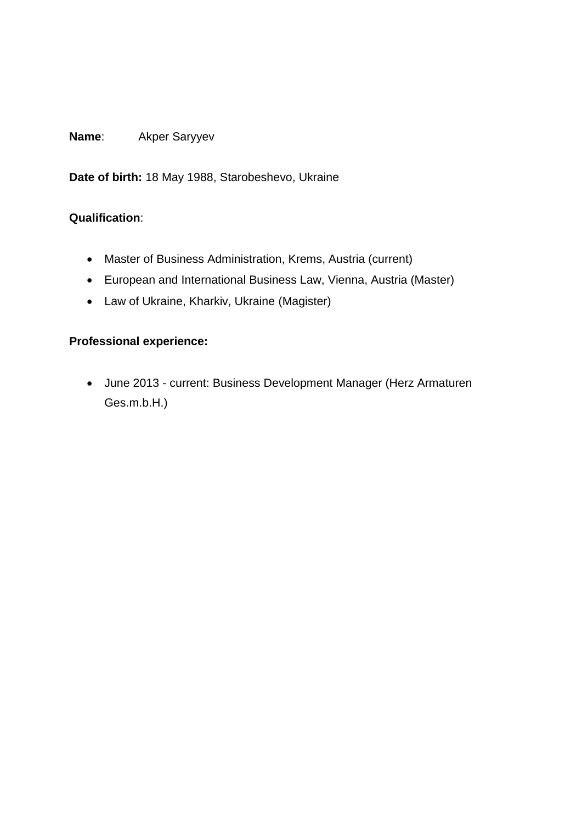## **Name**: Akper Saryyev

**Date of birth:** 18 May 1988, Starobeshevo, Ukraine

### **Qualification**:

- Master of Business Administration, Krems, Austria (current)
- European and International Business Law, Vienna, Austria (Master)
- Law of Ukraine, Kharkiv, Ukraine (Magister)

## **Professional experience:**

 June 2013 - current: Business Development Manager (Herz Armaturen Ges.m.b.H.)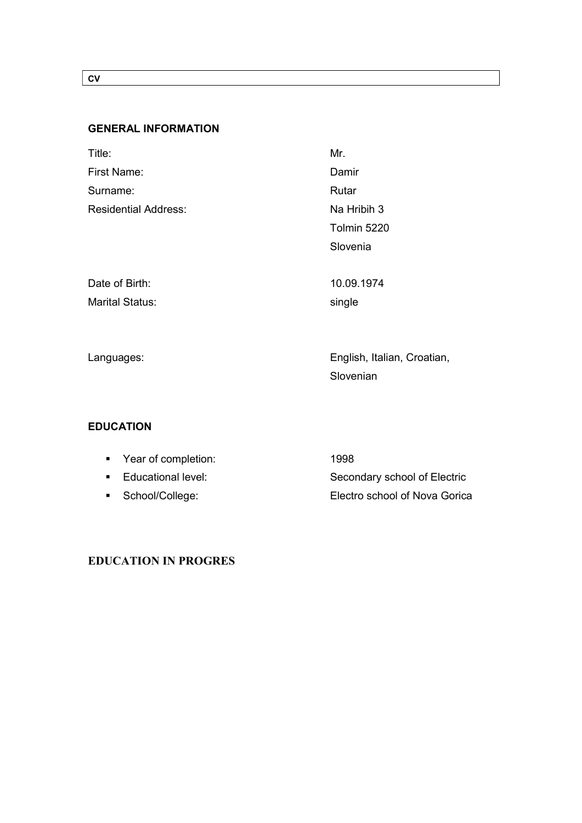### CV

## GENERAL INFORMATION

| Title:                      | Mr.                         |
|-----------------------------|-----------------------------|
| <b>First Name:</b>          | Damir                       |
| Surname:                    | Rutar                       |
| <b>Residential Address:</b> | Na Hribih 3                 |
|                             | Tolmin 5220                 |
|                             | Slovenia                    |
|                             |                             |
| Date of Birth:              | 10.09.1974                  |
| <b>Marital Status:</b>      | single                      |
|                             |                             |
|                             |                             |
| Languages:                  | English, Italian, Croatian, |
|                             | Slovenian                   |

### EDUCATION

| ■ Year of completion: | 1998                          |
|-----------------------|-------------------------------|
| ■ Educational level:  | Secondary school of Electric  |
| ■ School/College:     | Electro school of Nova Gorica |

### EDUCATION IN PROGRES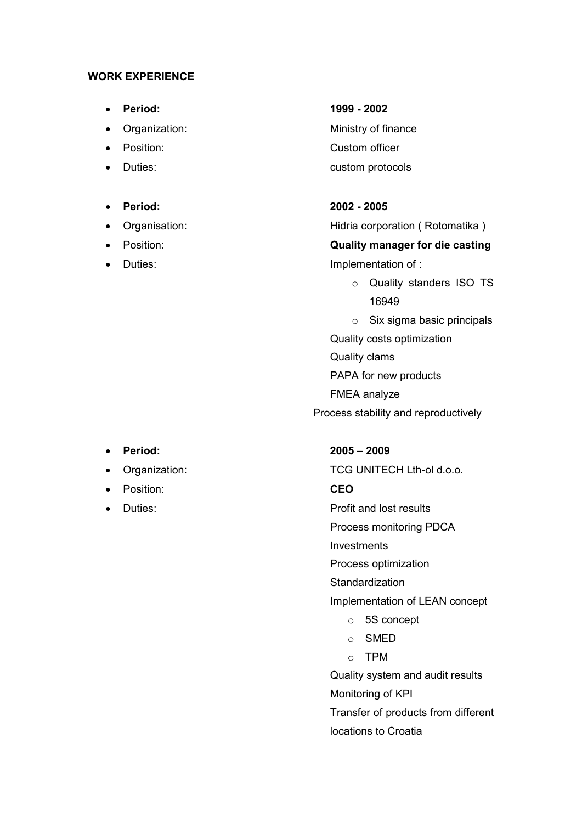### WORK EXPERIENCE

- 
- 
- 
- 

### Period: 2002 - 2005

- 
- 
- 

# Period: 1999 - 2002

• Organization: Ministry of finance Position: Custom officer Duties: custom protocols

 Organisation: Hidria corporation ( Rotomatika ) Position: Quality manager for die casting Duties: Duties: Implementation of :

o Quality standers ISO TS 16949

o Six sigma basic principals Quality costs optimization Quality clams PAPA for new products FMEA analyze Process stability and reproductively

- 
- 
- Position: CEO
- Duties: Contract the Profit and lost results

### Period: 2005 – 2009

Organization: TCG UNITECH Lth-ol d.o.o.

Process monitoring PDCA

Investments

Process optimization

**Standardization** 

Implementation of LEAN concept

- o 5S concept
- o SMED
- o TPM

Quality system and audit results Monitoring of KPI Transfer of products from different

locations to Croatia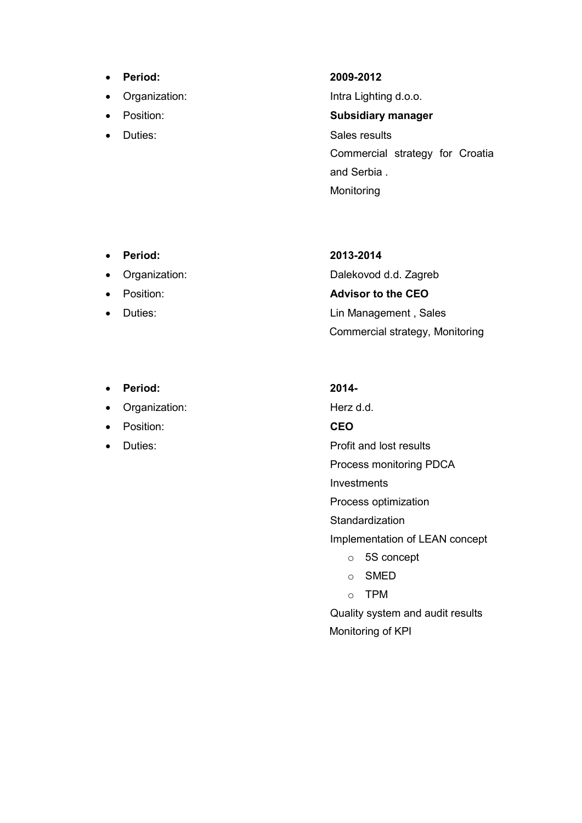- Period: 2009-2012
- Organization: **Intra Lighting d.o.o.**
- 
- 

• Position: Subsidiary manager Duties: Sales results Commercial strategy for Croatia and Serbia . Monitoring

- Period: 2013-2014
- 
- 
- 
- Period: 2014-
- Organization: Herz d.d.
- Position: CEO
- 

 Organization: Dalekovod d.d. Zagreb • Position: **Advisor to the CEO**  Duties: Lin Management , Sales Commercial strategy, Monitoring

• Duties: Contract the Profit and lost results

Process monitoring PDCA

Investments

Process optimization

**Standardization** 

Implementation of LEAN concept

- o 5S concept
- o SMED
- o TPM

Quality system and audit results Monitoring of KPI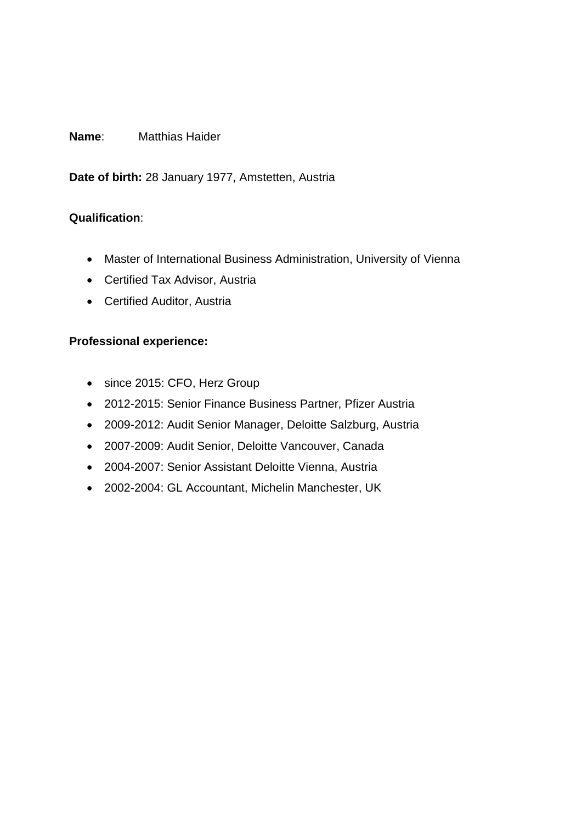### **Name**: Matthias Haider

**Date of birth:** 28 January 1977, Amstetten, Austria

### **Qualification**:

- Master of International Business Administration, University of Vienna
- Certified Tax Advisor, Austria
- Certified Auditor, Austria

### **Professional experience:**

- since 2015: CFO, Herz Group
- 2012-2015: Senior Finance Business Partner, Pfizer Austria
- 2009-2012: Audit Senior Manager, Deloitte Salzburg, Austria
- 2007-2009: Audit Senior, Deloitte Vancouver, Canada
- 2004-2007: Senior Assistant Deloitte Vienna, Austria
- 2002-2004: GL Accountant, Michelin Manchester, UK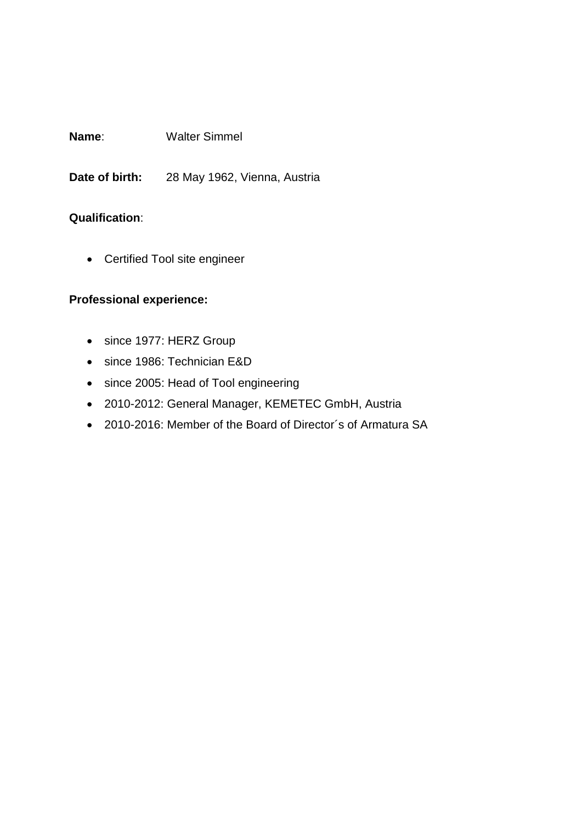**Name**: Walter Simmel

**Date of birth:** 28 May 1962, Vienna, Austria

### **Qualification**:

Certified Tool site engineer

### **Professional experience:**

- since 1977: HERZ Group
- since 1986: Technician E&D
- since 2005: Head of Tool engineering
- 2010-2012: General Manager, KEMETEC GmbH, Austria
- 2010-2016: Member of the Board of Director´s of Armatura SA